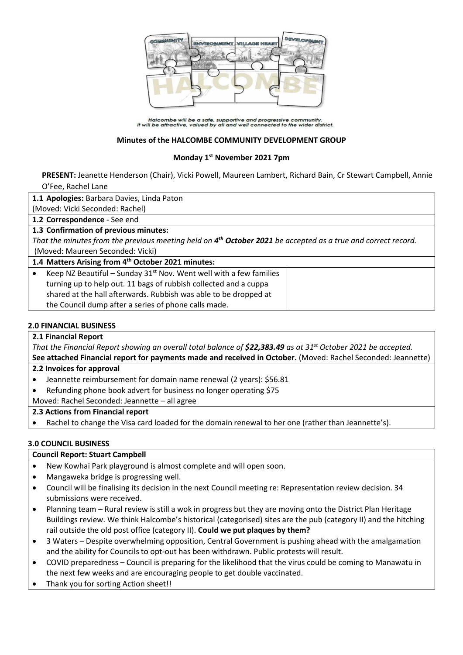

Halcombe will be a safe, supportive and progressive community.<br>It will be attractive, valued by all and well connected to the wider district.

#### **Minutes of the HALCOMBE COMMUNITY DEVELOPMENT GROUP**

## **Monday 1 st November 2021 7pm**

**PRESENT:** Jeanette Henderson (Chair), Vicki Powell, Maureen Lambert, Richard Bain, Cr Stewart Campbell, Annie O'Fee, Rachel Lane

**1.1 Apologies:** Barbara Davies, Linda Paton

(Moved: Vicki Seconded: Rachel)

**1.2 Correspondence** - See end

#### **1.3 Confirmation of previous minutes:**

*That the minutes from the previous meeting held on 4 th October 2021 be accepted as a true and correct record.* (Moved: Maureen Seconded: Vicki)

#### **1.4 Matters Arising from 4 th October 2021 minutes:**

| Keep NZ Beautiful – Sunday $31st$ Nov. Went well with a few families |
|----------------------------------------------------------------------|
| turning up to help out. 11 bags of rubbish collected and a cuppa     |
| shared at the hall afterwards. Rubbish was able to be dropped at     |
| the Council dump after a series of phone calls made.                 |
|                                                                      |

#### **2.0 FINANCIAL BUSINESS**

#### **2.1 Financial Report**

*That the Financial Report showing an overall total balance of \$22,383.49 as at 31st October 2021 be accepted.* **See attached Financial report for payments made and received in October.** (Moved: Rachel Seconded: Jeannette)

#### **2.2 Invoices for approval**

- Jeannette reimbursement for domain name renewal (2 years): \$56.81
- Refunding phone book advert for business no longer operating \$75

Moved: Rachel Seconded: Jeannette – all agree

#### **2.3 Actions from Financial report**

Rachel to change the Visa card loaded for the domain renewal to her one (rather than Jeannette's).

#### **3.0 COUNCIL BUSINESS**

#### **Council Report: Stuart Campbell**

- New Kowhai Park playground is almost complete and will open soon.
- Mangaweka bridge is progressing well.
- Council will be finalising its decision in the next Council meeting re: Representation review decision. 34 submissions were received.
- Planning team Rural review is still a wok in progress but they are moving onto the District Plan Heritage Buildings review. We think Halcombe's historical (categorised) sites are the pub (category II) and the hitching rail outside the old post office (category II). **Could we put plaques by them?**
- 3 Waters Despite overwhelming opposition, Central Government is pushing ahead with the amalgamation and the ability for Councils to opt-out has been withdrawn. Public protests will result.
- COVID preparedness Council is preparing for the likelihood that the virus could be coming to Manawatu in the next few weeks and are encouraging people to get double vaccinated.
- Thank you for sorting Action sheet!!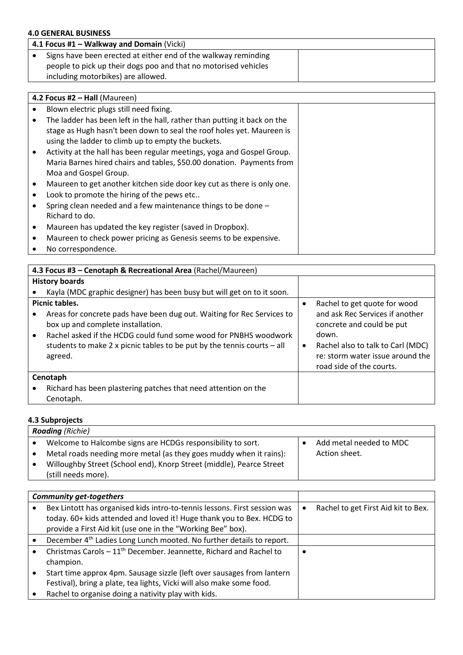## **4.0 GENERAL BUSINESS**

| 4.1 Focus #1 - Walkway and Domain (Vicki)                       |  |
|-----------------------------------------------------------------|--|
| Signs have been erected at either end of the walkway reminding  |  |
| people to pick up their dogs poo and that no motorised vehicles |  |
| including motorbikes) are allowed.                              |  |

|           | 4.2 Focus #2 $-$ Hall (Maureen)                                          |  |
|-----------|--------------------------------------------------------------------------|--|
| ٠         | Blown electric plugs still need fixing.                                  |  |
| ٠         | The ladder has been left in the hall, rather than putting it back on the |  |
|           | stage as Hugh hasn't been down to seal the roof holes yet. Maureen is    |  |
|           | using the ladder to climb up to empty the buckets.                       |  |
| $\bullet$ | Activity at the hall has been regular meetings, yoga and Gospel Group.   |  |
|           | Maria Barnes hired chairs and tables, \$50.00 donation. Payments from    |  |
|           | Moa and Gospel Group.                                                    |  |
| ٠         | Maureen to get another kitchen side door key cut as there is only one.   |  |
| ٠         | Look to promote the hiring of the pews etc                               |  |
| $\bullet$ | Spring clean needed and a few maintenance things to be done -            |  |
|           | Richard to do.                                                           |  |
| ٠         | Maureen has updated the key register (saved in Dropbox).                 |  |
| ٠         | Maureen to check power pricing as Genesis seems to be expensive.         |  |
|           | No correspondence.                                                       |  |

| 4.3 Focus #3 - Cenotaph & Recreational Area (Rachel/Maureen)                                                                                                                                                                                                                              |   |                                                                                                                                                                                                            |
|-------------------------------------------------------------------------------------------------------------------------------------------------------------------------------------------------------------------------------------------------------------------------------------------|---|------------------------------------------------------------------------------------------------------------------------------------------------------------------------------------------------------------|
| <b>History boards</b>                                                                                                                                                                                                                                                                     |   |                                                                                                                                                                                                            |
| Kayla (MDC graphic designer) has been busy but will get on to it soon.                                                                                                                                                                                                                    |   |                                                                                                                                                                                                            |
| Picnic tables.<br>Areas for concrete pads have been dug out. Waiting for Rec Services to<br>box up and complete installation.<br>Rachel asked if the HCDG could fund some wood for PNBHS woodwork<br>students to make 2 x picnic tables to be put by the tennis courts $-$ all<br>agreed. | ٠ | Rachel to get quote for wood<br>and ask Rec Services if another<br>concrete and could be put<br>down.<br>Rachel also to talk to Carl (MDC)<br>re: storm water issue around the<br>road side of the courts. |
| Cenotaph                                                                                                                                                                                                                                                                                  |   |                                                                                                                                                                                                            |
| Richard has been plastering patches that need attention on the<br>Cenotaph.                                                                                                                                                                                                               |   |                                                                                                                                                                                                            |

#### **4.3 Subprojects**

| <b>Roading</b> (Richie)                                              |                         |
|----------------------------------------------------------------------|-------------------------|
| Welcome to Halcombe signs are HCDGs responsibility to sort.          | Add metal needed to MDC |
| Metal roads needing more metal (as they goes muddy when it rains):   | Action sheet.           |
| Willoughby Street (School end), Knorp Street (middle), Pearce Street |                         |
| (still needs more).                                                  |                         |

| <b>Community get-togethers</b>                                                   |                                     |
|----------------------------------------------------------------------------------|-------------------------------------|
| Bex Lintott has organised kids intro-to-tennis lessons. First session was        | Rachel to get First Aid kit to Bex. |
| today. 60+ kids attended and loved it! Huge thank you to Bex. HCDG to            |                                     |
| provide a First Aid kit (use one in the "Working Bee" box).                      |                                     |
| December 4 <sup>th</sup> Ladies Long Lunch mooted. No further details to report. |                                     |
| Christmas Carols - 11 <sup>th</sup> December. Jeannette, Richard and Rachel to   |                                     |
| champion.                                                                        |                                     |
| Start time approx 4pm. Sausage sizzle (left over sausages from lantern           |                                     |
| Festival), bring a plate, tea lights, Vicki will also make some food.            |                                     |
| Rachel to organise doing a nativity play with kids.                              |                                     |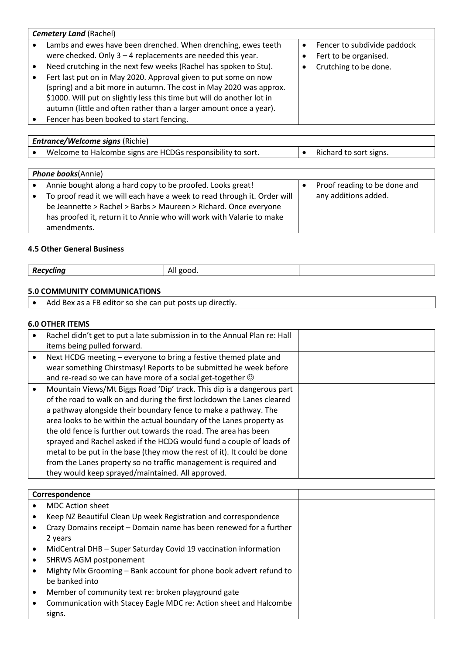| <b>Cemetery Land (Rachel)</b>                                                                                                                                                                                                                                                          |                                                      |
|----------------------------------------------------------------------------------------------------------------------------------------------------------------------------------------------------------------------------------------------------------------------------------------|------------------------------------------------------|
| Lambs and ewes have been drenched. When drenching, ewes teeth<br>were checked. Only $3 - 4$ replacements are needed this year.                                                                                                                                                         | Fencer to subdivide paddock<br>Fert to be organised. |
| Need crutching in the next few weeks (Rachel has spoken to Stu).                                                                                                                                                                                                                       | Crutching to be done.                                |
| Fert last put on in May 2020. Approval given to put some on now<br>(spring) and a bit more in autumn. The cost in May 2020 was approx.<br>\$1000. Will put on slightly less this time but will do another lot in<br>autumn (little and often rather than a larger amount once a year). |                                                      |
| Fencer has been booked to start fencing.                                                                                                                                                                                                                                               |                                                      |

| <b>Entrance/Welcome signs (Richie)</b>                                   |                              |
|--------------------------------------------------------------------------|------------------------------|
| Welcome to Halcombe signs are HCDGs responsibility to sort.              | Richard to sort signs.       |
|                                                                          |                              |
| <b>Phone books(Annie)</b>                                                |                              |
| Annie bought along a hard copy to be proofed. Looks great!               | Proof reading to be done and |
| To proof read it we will each have a week to read through it. Order will | any additions added.         |
| be Jeannette > Rachel > Barbs > Maureen > Richard. Once everyone         |                              |
| has proofed it, return it to Annie who will work with Valarie to make    |                              |

#### **4.5 Other General Business**

amendments.

| Re<br>.<br>-шпс<br>v | $\sim$ $\sim$<br>$\mathbf{v}$<br>ennr<br>. .<br>. |  |
|----------------------|---------------------------------------------------|--|
|                      |                                                   |  |

<u> 1989 - Johann Barn, mars ar breist bestjoerde te gemeente kommen.</u>

# **5.0 COMMUNITY COMMUNICATIONS**

| Add Bex as a FB editor so she can put posts up directly. |  |
|----------------------------------------------------------|--|
|----------------------------------------------------------|--|

## **6.0 OTHER ITEMS**

| Rachel didn't get to put a late submission in to the Annual Plan re: Hall<br>items being pulled forward.                                                                                                                                                                                                                                                                                                                                                                                                                                                                                                                                    |  |
|---------------------------------------------------------------------------------------------------------------------------------------------------------------------------------------------------------------------------------------------------------------------------------------------------------------------------------------------------------------------------------------------------------------------------------------------------------------------------------------------------------------------------------------------------------------------------------------------------------------------------------------------|--|
| Next HCDG meeting - everyone to bring a festive themed plate and<br>wear something Chirstmasy! Reports to be submitted he week before<br>and re-read so we can have more of a social get-together $\odot$                                                                                                                                                                                                                                                                                                                                                                                                                                   |  |
| Mountain Views/Mt Biggs Road 'Dip' track. This dip is a dangerous part<br>of the road to walk on and during the first lockdown the Lanes cleared<br>a pathway alongside their boundary fence to make a pathway. The<br>area looks to be within the actual boundary of the Lanes property as<br>the old fence is further out towards the road. The area has been<br>sprayed and Rachel asked if the HCDG would fund a couple of loads of<br>metal to be put in the base (they mow the rest of it). It could be done<br>from the Lanes property so no traffic management is required and<br>they would keep sprayed/maintained. All approved. |  |

|  | Correspondence                                                     |
|--|--------------------------------------------------------------------|
|  | <b>MDC Action sheet</b>                                            |
|  | Keep NZ Beautiful Clean Up week Registration and correspondence    |
|  | Crazy Domains receipt – Domain name has been renewed for a further |
|  | 2 years                                                            |
|  | MidCentral DHB - Super Saturday Covid 19 vaccination information   |
|  | <b>SHRWS AGM postponement</b>                                      |
|  | Mighty Mix Grooming – Bank account for phone book advert refund to |
|  | be banked into                                                     |
|  | Member of community text re: broken playground gate                |
|  | Communication with Stacey Eagle MDC re: Action sheet and Halcombe  |
|  | signs.                                                             |